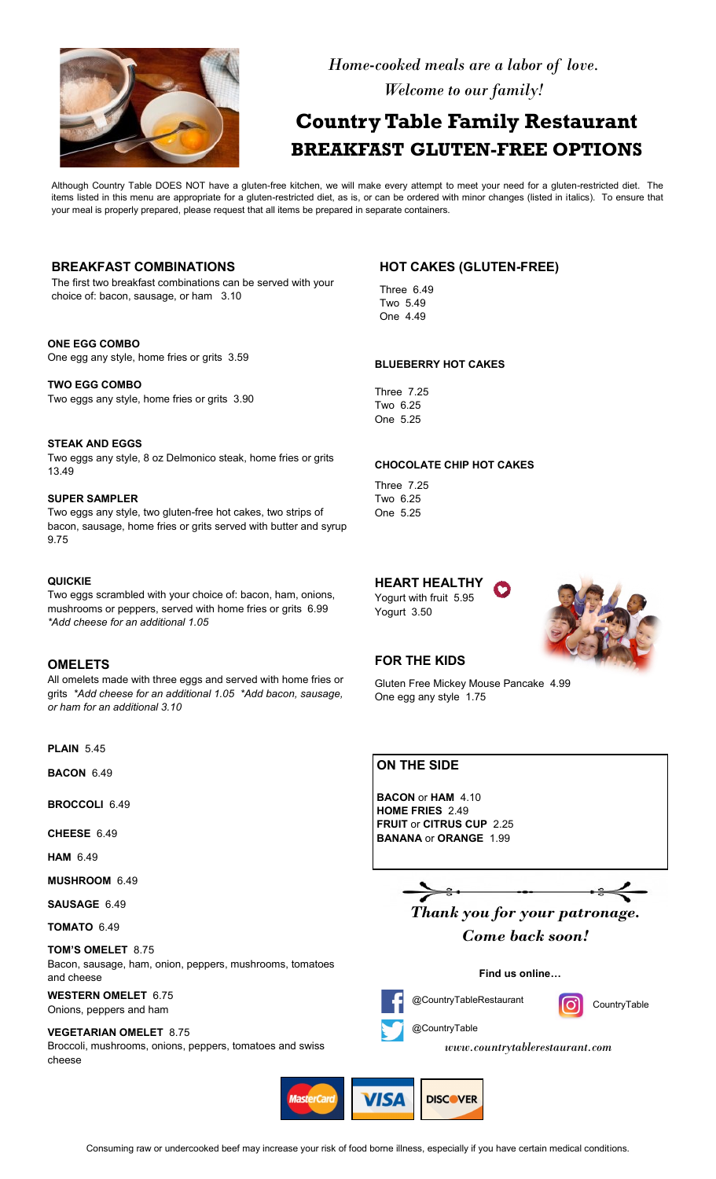

 *Home-cooked meals are a labor of love. Welcome to our family!*

# **Country Table Family Restaurant BREAKFAST GLUTEN-FREE OPTIONS**

Although Country Table DOES NOT have a gluten-free kitchen, we will make every attempt to meet your need for a gluten-restricted diet. The items listed in this menu are appropriate for a gluten-restricted diet, as is, or can be ordered with minor changes (listed in italics). To ensure that your meal is properly prepared, please request that all items be prepared in separate containers.

## **BREAKFAST COMBINATIONS**

The first two breakfast combinations can be served with your choice of: bacon, sausage, or ham 3.10

#### **ONE EGG COMBO**

One egg any style, home fries or grits 3.59

### **TWO EGG COMBO** Two eggs any style, home fries or grits 3.90

**STEAK AND EGGS** Two eggs any style, 8 oz Delmonico steak, home fries or grits 13.49

#### **SUPER SAMPLER**

Two eggs any style, two gluten-free hot cakes, two strips of bacon, sausage, home fries or grits served with butter and syrup 9.75

#### **QUICKIE**

Two eggs scrambled with your choice of: bacon, ham, onions, mushrooms or peppers, served with home fries or grits 6.99 *\*Add cheese for an additional 1.05*

## **OMELETS**

All omelets made with three eggs and served with home fries or grits *\*Add cheese for an additional 1.05 \*Add bacon, sausage, or ham for an additional 3.10*

**PLAIN** 5.45

**BACON** 6.49

**BROCCOLI** 6.49

**CHEESE** 6.49

**HAM** 6.49

**MUSHROOM** 6.49

**SAUSAGE** 6.49

**TOMATO** 6.49

#### **TOM'S OMELET** 8.75

Bacon, sausage, ham, onion, peppers, mushrooms, tomatoes and cheese

**WESTERN OMELET** 6.75 Onions, peppers and ham

#### **VEGETARIAN OMELET** 8.75

Broccoli, mushrooms, onions, peppers, tomatoes and swiss cheese

# **HOT CAKES (GLUTEN-FREE)**

Three 6.49 Two 5.49 One 4.49

#### **BLUEBERRY HOT CAKES**

Three 7.25 Two 6.25 One 5.25

#### **CHOCOLATE CHIP HOT CAKES**

Three 7.25 Two 6.25 One 5.25

# **HEART HEALTHY**

Yogurt with fruit 5.95 Yogurt 3.50



## **FOR THE KIDS**

Gluten Free Mickey Mouse Pancake 4.99 One egg any style 1.75

# **ON THE SIDE**

**BACON** or **HAM** 4.10 **HOME FRIES** 2.49 **FRUIT** or **CITRUS CUP** 2.25 **BANANA** or **ORANGE** 1.99

*Thank you for your patronage.*

*Come back soon!*

#### **Find us online…**



**CountryTable** 

*www.countrytablerestaurant.com*